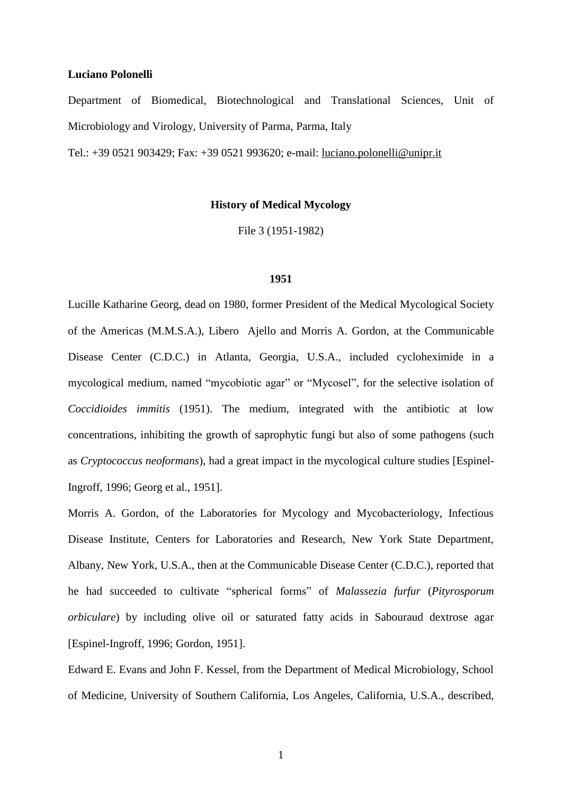## **Luciano Polonelli**

Department of Biomedical, Biotechnological and Translational Sciences, Unit of Microbiology and Virology, University of Parma, Parma, Italy

Tel.: +39 0521 903429; Fax: +39 0521 993620; e-mail: [luciano.polonelli@unipr.it](mailto:luciano.polonelli@unipr.it)

# **History of Medical Mycology**

File 3 (1951-1982)

#### **1951**

Lucille Katharine Georg, dead on 1980, former President of the Medical [Mycological](http://medical-dictionary.thefreedictionary.com/mycological) Society of the Americas (M.M.S.A.), Libero Ajello and Morris A. Gordon, at the Communicable Disease Center (C.D.C.) in Atlanta, Georgia, U.S.A., included cycloheximide in a mycological medium, named "mycobiotic agar" or "Mycosel", for the selective isolation of *Coccidioides immitis* (1951). The medium, integrated with the antibiotic at low concentrations, inhibiting the growth of saprophytic fungi but also of some pathogens (such as *Cryptococcus neoformans*), had a great impact in the mycological culture studies [Espinel-Ingroff, 1996; Georg et al., 1951].

Morris A. Gordon, of the Laboratories for Mycology and Mycobacteriology, Infectious Disease Institute, Centers for Laboratories and Research, New York State Department, Albany, New York, U.S.A., then at the Communicable Disease Center (C.D.C.), reported that he had succeeded to cultivate "spherical forms" of *Malassezia furfur* (*Pityrosporum orbiculare*) by including olive oil or saturated fatty acids in Sabouraud dextrose agar [Espinel-Ingroff, 1996; Gordon, 1951].

Edward E. Evans and John F. Kessel, from the Department of Medical Microbiology, School of Medicine, University of Southern California, Los Angeles, California, U.S.A., described,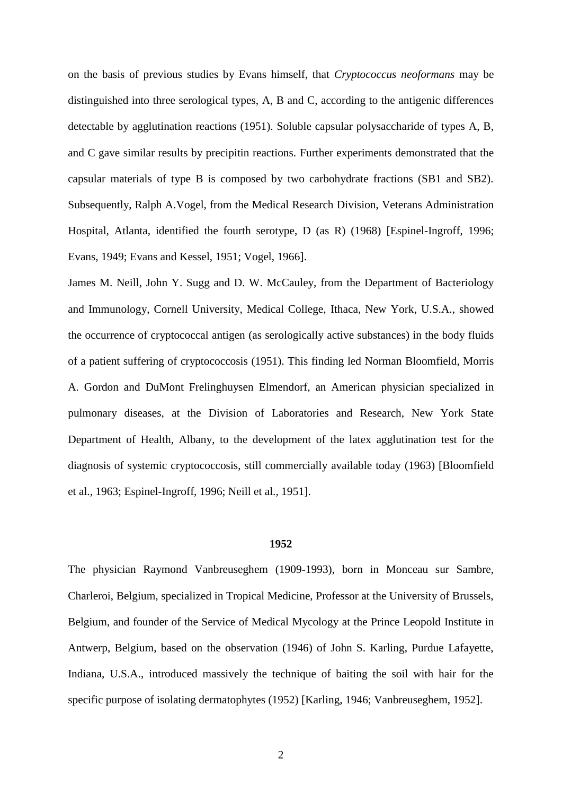on the basis of previous studies by Evans himself, that *Cryptococcus neoformans* may be distinguished into three serological types, A, B and C, according to the antigenic differences detectable by agglutination reactions (1951). Soluble capsular polysaccharide of types A, B, and C gave similar results by precipitin reactions. Further experiments demonstrated that the capsular materials of type B is composed by two carbohydrate fractions (SB1 and SB2). Subsequently, Ralph A.Vogel, from the Medical Research Division, Veterans Administration Hospital, Atlanta, identified the fourth serotype, D (as R) (1968) [Espinel-Ingroff, 1996; Evans, 1949; Evans and Kessel, 1951; Vogel, 1966].

James M. Neill, John Y. Sugg and D. W. McCauley, from the Department of Bacteriology and Immunology, Cornell University, Medical College, Ithaca, New York, U.S.A., showed the occurrence of cryptococcal antigen (as serologically active substances) in the body fluids of a patient suffering of cryptococcosis (1951). This finding led Norman Bloomfield, Morris A. Gordon and DuMont Frelinghuysen Elmendorf, an American physician specialized in pulmonary diseases, at the Division of Laboratories and Research, New York State Department of Health, Albany, to the development of the latex agglutination test for the diagnosis of systemic cryptococcosis, still commercially available today (1963) [Bloomfield et al., 1963; Espinel-Ingroff, 1996; Neill et al., 1951].

# **1952**

The physician Raymond Vanbreuseghem (1909-1993), born in Monceau sur Sambre, Charleroi, Belgium, specialized in Tropical Medicine, Professor at the University of Brussels, Belgium, and founder of the Service of Medical Mycology at the Prince Leopold Institute in Antwerp, Belgium, based on the observation (1946) of John S. Karling, Purdue Lafayette, Indiana, U.S.A., introduced massively the technique of baiting the soil with hair for the specific purpose of isolating dermatophytes (1952) [Karling, 1946; Vanbreuseghem, 1952].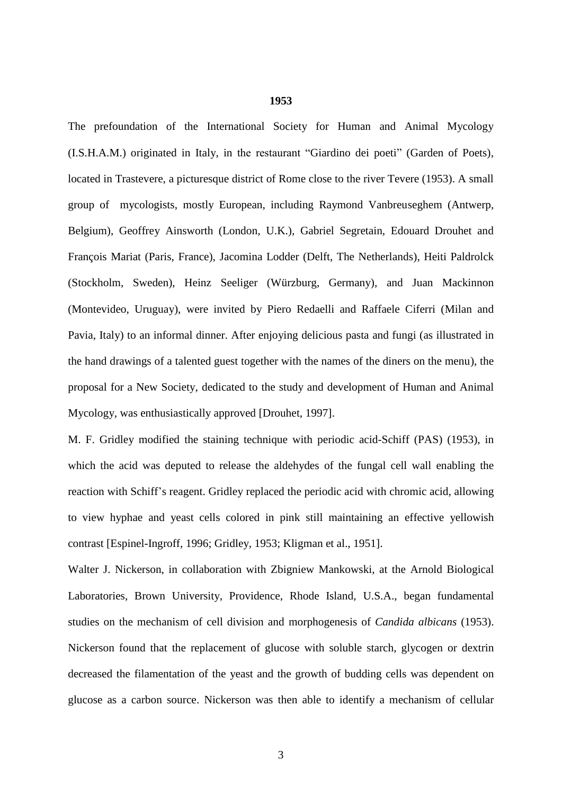The prefoundation of the International Society for Human and Animal Mycology (I.S.H.A.M.) originated in Italy, in the restaurant "Giardino dei poeti" (Garden of Poets), located in Trastevere, a picturesque district of Rome close to the river Tevere (1953). A small group of mycologists, mostly European, including Raymond Vanbreuseghem (Antwerp, Belgium), Geoffrey Ainsworth (London, U.K.), Gabriel Segretain, Edouard Drouhet and François Mariat (Paris, France), Jacomina Lodder (Delft, The Netherlands), Heiti Paldrolck (Stockholm, Sweden), Heinz Seeliger (Würzburg, Germany), and Juan Mackinnon (Montevideo, Uruguay), were invited by Piero Redaelli and Raffaele Ciferri (Milan and Pavia, Italy) to an informal dinner. After enjoying delicious pasta and fungi (as illustrated in the hand drawings of a talented guest together with the names of the diners on the menu), the proposal for a New Society, dedicated to the study and development of Human and Animal Mycology, was enthusiastically approved [Drouhet, 1997].

M. F. Gridley modified the staining technique with periodic acid-Schiff (PAS) (1953), in which the acid was deputed to release the aldehydes of the fungal cell wall enabling the reaction with Schiff's reagent. Gridley replaced the periodic acid with chromic acid, allowing to view hyphae and yeast cells colored in pink still maintaining an effective yellowish contrast [Espinel-Ingroff, 1996; Gridley, 1953; Kligman et al., 1951].

Walter J. Nickerson, in collaboration with Zbigniew Mankowski, at the Arnold Biological Laboratories, Brown University, Providence, Rhode Island, U.S.A., began fundamental studies on the mechanism of cell division and morphogenesis of *Candida albicans* (1953). Nickerson found that the replacement of glucose with soluble starch, glycogen or dextrin decreased the filamentation of the yeast and the growth of budding cells was dependent on glucose as a carbon source. Nickerson was then able to identify a mechanism of cellular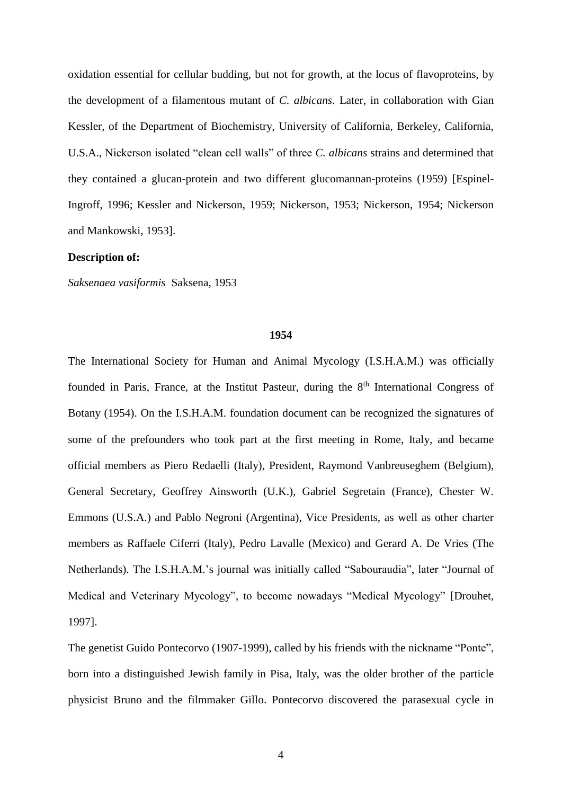oxidation essential for cellular budding, but not for growth, at the locus of flavoproteins, by the development of a filamentous mutant of *C. albicans*. Later, in collaboration with Gian Kessler, of the Department of Biochemistry, University of California, Berkeley, California, U.S.A., Nickerson isolated "clean cell walls" of three *C. albicans* strains and determined that they contained a glucan-protein and two different glucomannan-proteins (1959) [Espinel-Ingroff, 1996; Kessler and Nickerson, 1959; Nickerson, 1953; Nickerson, 1954; Nickerson and Mankowski, 1953].

# **Description of:**

*Saksenaea vasiformis* Saksena, 1953

### **1954**

The International Society for Human and Animal Mycology (I.S.H.A.M.) was officially founded in Paris, France, at the Institut Pasteur, during the  $8<sup>th</sup>$  International Congress of Botany (1954). On the I.S.H.A.M. foundation document can be recognized the signatures of some of the prefounders who took part at the first meeting in Rome, Italy, and became official members as Piero Redaelli (Italy), President, Raymond Vanbreuseghem (Belgium), General Secretary, Geoffrey Ainsworth (U.K.)*,* Gabriel Segretain (France), Chester W. Emmons (U.S.A.) and Pablo Negroni (Argentina), Vice Presidents, as well as other charter members as Raffaele Ciferri (Italy), Pedro Lavalle (Mexico) and Gerard A. De Vries (The Netherlands). The I.S.H.A.M.'s journal was initially called "Sabouraudia", later "Journal of Medical and Veterinary Mycology", to become nowadays "Medical Mycology" [Drouhet, 1997].

The genetist Guido Pontecorvo (1907-1999), called by his friends with the nickname "Ponte", born into a distinguished Jewish family in Pisa, Italy, was the older brother of the particle physicist Bruno and the filmmaker Gillo. Pontecorvo discovered the parasexual cycle in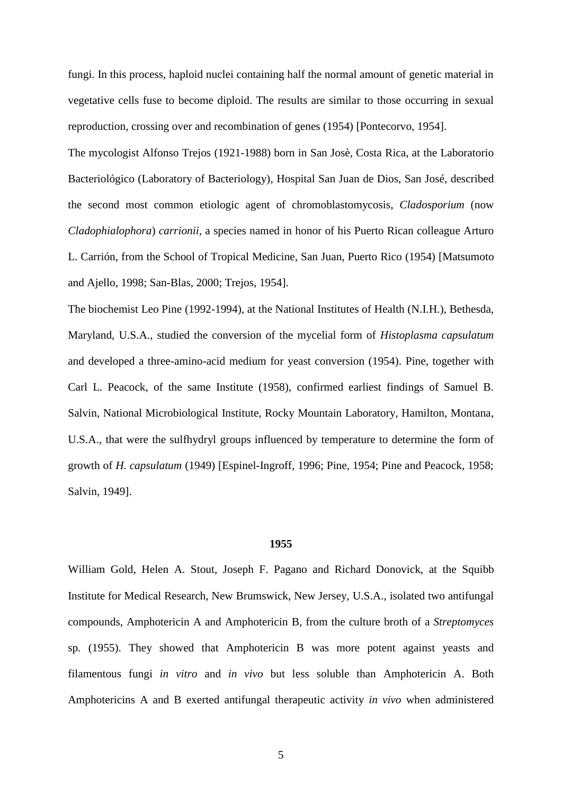fungi. In this process, haploid nuclei containing half the normal amount of genetic material in vegetative cells fuse to become diploid. The results are similar to those occurring in sexual reproduction, crossing over and recombination of genes (1954) [Pontecorvo, 1954].

The mycologist Alfonso Trejos (1921-1988) born in San Josè, Costa Rica, at the Laboratorio Bacteriológico (Laboratory of Bacteriology), Hospital San Juan de Dios, San José, described the second most common etiologic agent of chromoblastomycosis, *Cladosporium* (now *Cladophialophora*) *carrionii*, a species named in honor of his Puerto Rican colleague Arturo L. Carrión, from the School of Tropical Medicine, San Juan, Puerto Rico (1954) [Matsumoto and Ajello, 1998; San-Blas, 2000; Trejos, 1954].

The biochemist Leo Pine (1992-1994), at the National Institutes of Health (N.I.H.), Bethesda, Maryland, U.S.A., studied the conversion of the mycelial form of *Histoplasma capsulatum* and developed a three-amino-acid medium for yeast conversion (1954). Pine, together with Carl L. Peacock, of the same Institute (1958), confirmed earliest findings of Samuel B. Salvin, National Microbiological Institute, Rocky Mountain Laboratory, Hamilton, Montana, U.S.A., that were the sulfhydryl groups influenced by temperature to determine the form of growth of *H. capsulatum* (1949) [Espinel-Ingroff, 1996; Pine, 1954; Pine and Peacock, 1958; Salvin, 1949].

# **1955**

William Gold, Helen A. Stout, Joseph F. Pagano and Richard Donovick, at the Squibb Institute for Medical Research, New Brumswick, New Jersey, U.S.A., isolated two antifungal compounds, Amphotericin A and Amphotericin B, from the culture broth of a *Streptomyces* sp*.* (1955). They showed that Amphotericin B was more potent against yeasts and filamentous fungi *in vitro* and *in vivo* but less soluble than Amphotericin A. Both Amphotericins A and B exerted antifungal therapeutic activity *in vivo* when administered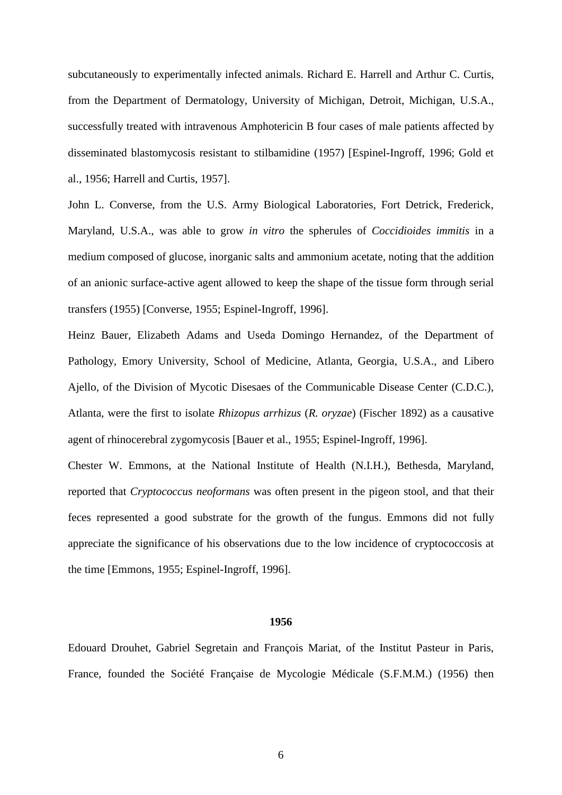subcutaneously to experimentally infected animals. Richard E. Harrell and Arthur C. Curtis, from the Department of Dermatology, University of Michigan, Detroit, Michigan, U.S.A., successfully treated with intravenous Amphotericin B four cases of male patients affected by disseminated blastomycosis resistant to stilbamidine (1957) [Espinel-Ingroff, 1996; Gold et al., 1956; Harrell and Curtis, 1957].

John L. Converse, from the U.S. Army Biological Laboratories, Fort Detrick, Frederick, Maryland, U.S.A., was able to grow *in vitro* the spherules of *Coccidioides immitis* in a medium composed of glucose, inorganic salts and ammonium acetate, noting that the addition of an anionic surface-active agent allowed to keep the shape of the tissue form through serial transfers (1955) [Converse, 1955; Espinel-Ingroff, 1996].

Heinz Bauer, Elizabeth Adams and Useda Domingo Hernandez, of the Department of Pathology, Emory University, School of Medicine, Atlanta, Georgia, U.S.A., and Libero Ajello, of the Division of Mycotic Disesaes of the Communicable Disease Center (C.D.C.), Atlanta, were the first to isolate *Rhizopus arrhizus* (*R. oryzae*) (Fischer 1892) as a causative agent of rhinocerebral zygomycosis [Bauer et al., 1955; Espinel-Ingroff, 1996].

Chester W. Emmons, at the National Institute of Health (N.I.H.), Bethesda, Maryland, reported that *Cryptococcus neoformans* was often present in the pigeon stool, and that their feces represented a good substrate for the growth of the fungus. Emmons did not fully appreciate the significance of his observations due to the low incidence of cryptococcosis at the time [Emmons, 1955; Espinel-Ingroff, 1996].

### **1956**

Edouard Drouhet, Gabriel Segretain and François Mariat, of the Institut Pasteur in Paris, France, founded the Société Française de Mycologie Médicale (S.F.M.M.) (1956) then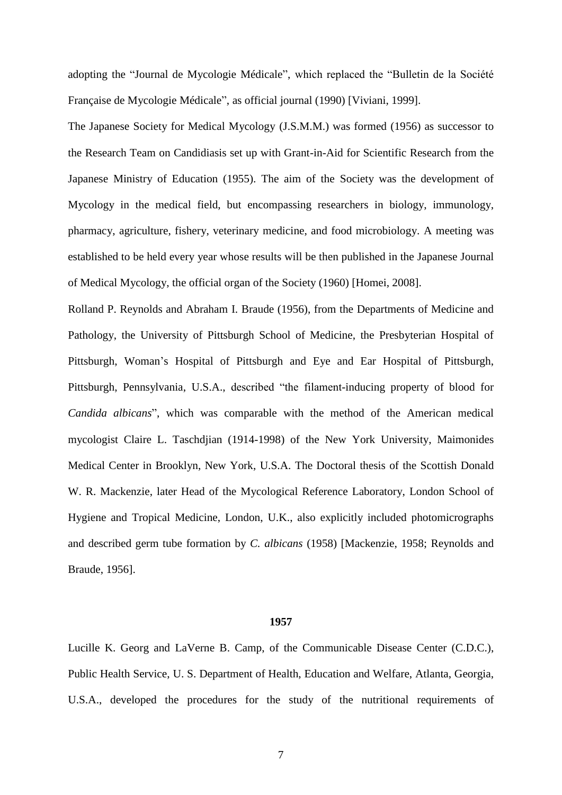adopting the "Journal de Mycologie Médicale", which replaced the "Bulletin de la Société Française de Mycologie Médicale", as official journal (1990) [Viviani, 1999].

The Japanese Society for Medical Mycology (J.S.M.M.) was formed (1956) as successor to the Research Team on Candidiasis set up with Grant-in-Aid for Scientific Research from the Japanese Ministry of Education (1955). The aim of the Society was the development of Mycology in the medical field, but encompassing researchers in biology, immunology, pharmacy, agriculture, fishery, veterinary medicine, and food microbiology. A meeting was established to be held every year whose results will be then published in the Japanese Journal of Medical Mycology, the official organ of the Society (1960) [Homei, 2008].

Rolland P. Reynolds and Abraham I. Braude (1956), from the Departments of Medicine and Pathology, the University of Pittsburgh School of Medicine, the Presbyterian Hospital of Pittsburgh, Woman's Hospital of Pittsburgh and Eye and Ear Hospital of Pittsburgh, Pittsburgh, Pennsylvania, U.S.A., described "the filament-inducing property of blood for *Candida albicans*", which was comparable with the method of the American medical mycologist Claire L. Taschdjian (1914-1998) of the New York University, Maimonides Medical Center in Brooklyn, New York, U.S.A. The Doctoral thesis of the Scottish Donald W. R. Mackenzie, later Head of the Mycological Reference Laboratory, London School of Hygiene and Tropical Medicine, London, U.K., also explicitly included photomicrographs and described germ tube formation by *C. albicans* (1958) [Mackenzie, 1958; Reynolds and Braude, 1956].

### **1957**

Lucille K. Georg and LaVerne B. Camp, of the Communicable Disease Center (C.D.C.), Public Health Service, U. S. Department of Health, Education and Welfare, Atlanta, Georgia, U.S.A., developed the procedures for the study of the nutritional requirements of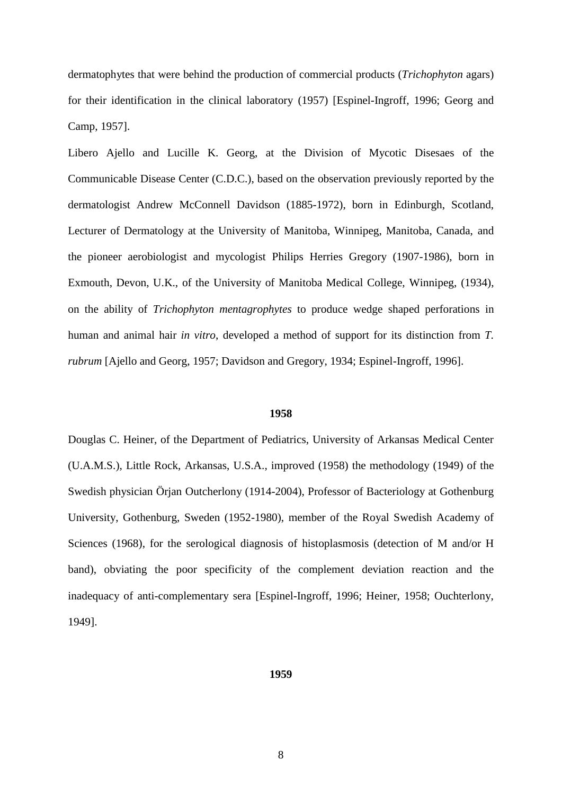dermatophytes that were behind the production of commercial products (*Trichophyton* agars) for their identification in the clinical laboratory (1957) [Espinel-Ingroff, 1996; Georg and Camp, 1957].

Libero Ajello and Lucille K. Georg, at the Division of Mycotic Disesaes of the Communicable Disease Center (C.D.C.), based on the observation previously reported by the dermatologist Andrew McConnell Davidson (1885-1972), born in Edinburgh, Scotland, Lecturer of Dermatology at the University of Manitoba, Winnipeg, Manitoba, Canada, and the pioneer aerobiologist and mycologist Philips Herries Gregory (1907-1986), born in Exmouth, Devon, U.K., of the University of Manitoba Medical College, Winnipeg, (1934), on the ability of *Trichophyton mentagrophytes* to produce wedge shaped perforations in human and animal hair *in vitro*, developed a method of support for its distinction from *T. rubrum* [Ajello and Georg, 1957; Davidson and Gregory, 1934; Espinel-Ingroff, 1996].

### **1958**

Douglas C. Heiner, of the Department of Pediatrics, University of Arkansas Medical Center (U.A.M.S.), Little Rock, Arkansas, U.S.A., improved (1958) the methodology (1949) of the Swedish physician Örjan Outcherlony (1914-2004), Professor of [Bacteriology](http://en.wikipedia.org/wiki/Bacteriology) at [Gothenburg](http://en.wikipedia.org/wiki/Gothenburg_University)  [University,](http://en.wikipedia.org/wiki/Gothenburg_University) Gothenburg, Sweden (1952-1980), member of the [Royal Swedish Academy of](http://en.wikipedia.org/wiki/Royal_Swedish_Academy_of_Sciences)  [Sciences](http://en.wikipedia.org/wiki/Royal_Swedish_Academy_of_Sciences) (1968), for the serological diagnosis of histoplasmosis (detection of M and/or H band), obviating the poor specificity of the complement deviation reaction and the inadequacy of anti-complementary sera [Espinel-Ingroff, 1996; Heiner, 1958; Ouchterlony, 1949].

#### **1959**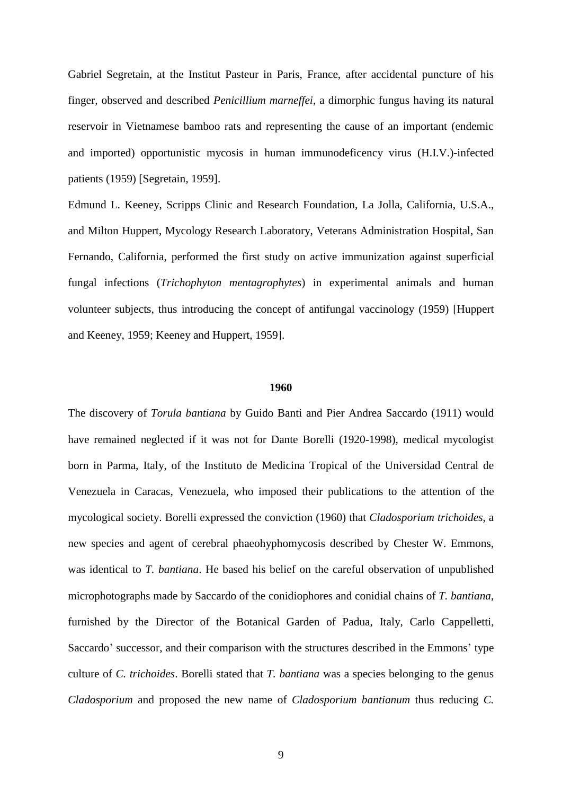Gabriel Segretain, at the Institut Pasteur in Paris, France, after accidental puncture of his finger, observed and described *Penicillium marneffei*, a dimorphic fungus having its natural reservoir in Vietnamese bamboo rats and representing the cause of an important (endemic and imported) opportunistic mycosis in human immunodeficency virus (H.I.V.)-infected patients (1959) [Segretain, 1959].

Edmund L. Keeney, Scripps Clinic and Research Foundation, La Jolla, California, U.S.A., and Milton Huppert, Mycology Research Laboratory, Veterans Administration Hospital, San Fernando, California, performed the first study on active immunization against superficial fungal infections (*Trichophyton mentagrophytes*) in experimental animals and human volunteer subjects, thus introducing the concept of antifungal vaccinology (1959) [Huppert and Keeney, 1959; Keeney and Huppert, 1959].

# **1960**

The discovery of *Torula bantiana* by Guido Banti and Pier Andrea Saccardo (1911) would have remained neglected if it was not for Dante Borelli (1920-1998), medical mycologist born in Parma, Italy, of the Instituto de Medicina Tropical of the Universidad Central de Venezuela in Caracas, Venezuela, who imposed their publications to the attention of the mycological society. Borelli expressed the conviction (1960) that *Cladosporium trichoides*, a new species and agent of cerebral phaeohyphomycosis described by Chester W. Emmons, was identical to *T. bantiana*. He based his belief on the careful observation of unpublished microphotographs made by Saccardo of the conidiophores and conidial chains of *T. bantiana*, furnished by the Director of the Botanical Garden of Padua, Italy, Carlo Cappelletti, Saccardo' successor, and their comparison with the structures described in the Emmons' type culture of *C. trichoides*. Borelli stated that *T. bantiana* was a species belonging to the genus *Cladosporium* and proposed the new name of *Cladosporium bantianum* thus reducing *C.*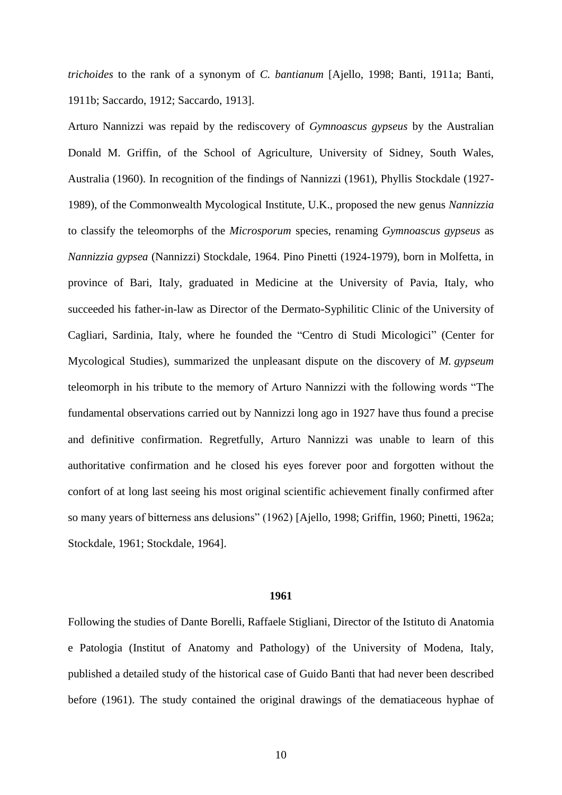*trichoides* to the rank of a synonym of *C. bantianum* [Ajello, 1998; Banti, 1911a; Banti, 1911b; Saccardo, 1912; Saccardo, 1913].

Arturo Nannizzi was repaid by the rediscovery of *Gymnoascus gypseus* by the Australian Donald M. Griffin, of the School of Agriculture, University of Sidney, South Wales, Australia (1960). In recognition of the findings of Nannizzi (1961), Phyllis Stockdale (1927- 1989), of the Commonwealth Mycological Institute, U.K., proposed the new genus *Nannizzia* to classify the teleomorphs of the *Microsporum* species, renaming *Gymnoascus gypseus* as *Nannizzia gypsea* (Nannizzi) Stockdale, 1964. Pino Pinetti (1924-1979), born in Molfetta, in province of Bari, Italy, graduated in Medicine at the University of Pavia, Italy, who succeeded his father-in-law as Director of the Dermato-Syphilitic Clinic of the University of Cagliari, Sardinia, Italy, where he founded the "Centro di Studi Micologici" (Center for Mycological Studies), summarized the unpleasant dispute on the discovery of *M. gypseum* teleomorph in his tribute to the memory of Arturo Nannizzi with the following words "The fundamental observations carried out by Nannizzi long ago in 1927 have thus found a precise and definitive confirmation. Regretfully, Arturo Nannizzi was unable to learn of this authoritative confirmation and he closed his eyes forever poor and forgotten without the confort of at long last seeing his most original scientific achievement finally confirmed after so many years of bitterness ans delusions" (1962) [Ajello, 1998; Griffin, 1960; Pinetti, 1962a; Stockdale, 1961; Stockdale, 1964].

#### **1961**

Following the studies of Dante Borelli, Raffaele Stigliani, Director of the Istituto di Anatomia e Patologia (Institut of Anatomy and Pathology) of the University of Modena, Italy, published a detailed study of the historical case of Guido Banti that had never been described before (1961). The study contained the original drawings of the dematiaceous hyphae of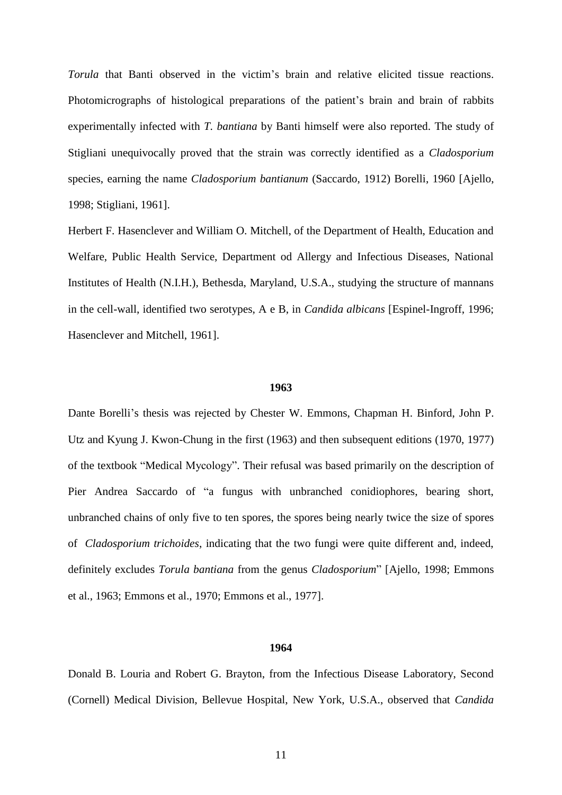*Torula* that Banti observed in the victim's brain and relative elicited tissue reactions. Photomicrographs of histological preparations of the patient's brain and brain of rabbits experimentally infected with *T. bantiana* by Banti himself were also reported. The study of Stigliani unequivocally proved that the strain was correctly identified as a *Cladosporium* species, earning the name *Cladosporium bantianum* (Saccardo, 1912) Borelli, 1960 [Ajello, 1998; Stigliani, 1961].

Herbert F. Hasenclever and William O. Mitchell, of the Department of Health, Education and Welfare, Public Health Service, Department od Allergy and Infectious Diseases, National Institutes of Health (N.I.H.), Bethesda, Maryland, U.S.A., studying the structure of mannans in the cell-wall, identified two serotypes, A e B, in *Candida albicans* [Espinel-Ingroff, 1996; Hasenclever and Mitchell, 1961].

# **1963**

Dante Borelli's thesis was rejected by Chester W. Emmons, Chapman H. Binford, John P. Utz and Kyung J. Kwon-Chung in the first (1963) and then subsequent editions (1970, 1977) of the textbook "Medical Mycology". Their refusal was based primarily on the description of Pier Andrea Saccardo of "a fungus with unbranched conidiophores, bearing short, unbranched chains of only five to ten spores, the spores being nearly twice the size of spores of *Cladosporium trichoides*, indicating that the two fungi were quite different and, indeed, definitely excludes *Torula bantiana* from the genus *Cladosporium*" [Ajello, 1998; Emmons et al., 1963; Emmons et al., 1970; Emmons et al., 1977].

# **1964**

Donald B. Louria and Robert G. Brayton, from the Infectious Disease Laboratory, Second (Cornell) Medical Division, Bellevue Hospital, New York, U.S.A., observed that *Candida*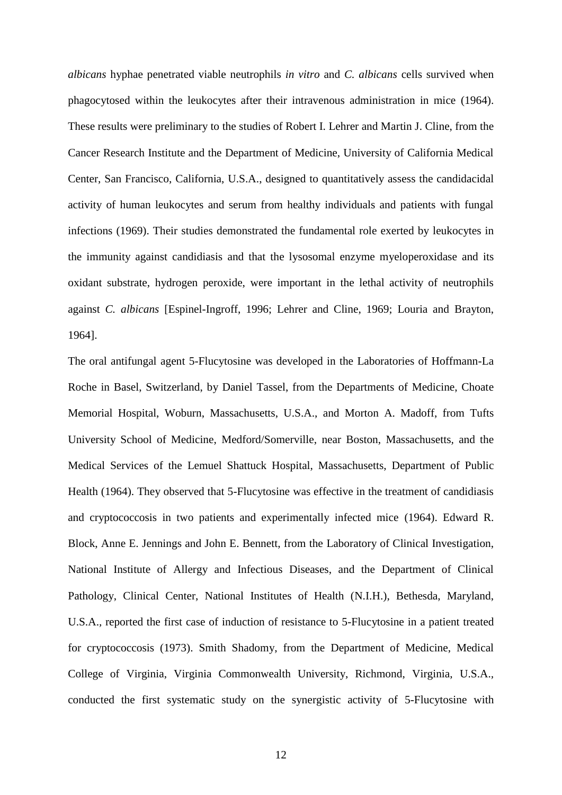*albicans* hyphae penetrated viable neutrophils *in vitro* and *C. albicans* cells survived when phagocytosed within the leukocytes after their intravenous administration in mice (1964). These results were preliminary to the studies of Robert I. Lehrer and Martin J. Cline, from the Cancer Research Institute and the Department of Medicine, University of California Medical Center, San Francisco, California, U.S.A., designed to quantitatively assess the candidacidal activity of human leukocytes and serum from healthy individuals and patients with fungal infections (1969). Their studies demonstrated the fundamental role exerted by leukocytes in the immunity against candidiasis and that the lysosomal enzyme myeloperoxidase and its oxidant substrate, hydrogen peroxide, were important in the lethal activity of neutrophils against *C. albicans* [Espinel-Ingroff, 1996; Lehrer and Cline, 1969; Louria and Brayton, 1964].

The oral antifungal agent 5-Flucytosine was developed in the Laboratories of Hoffmann-La Roche in Basel, Switzerland, by Daniel Tassel, from the Departments of Medicine, Choate Memorial Hospital, Woburn, Massachusetts, U.S.A., and Morton A. Madoff, from Tufts University School of Medicine, [Medford/](http://en.wikipedia.org/wiki/Medford,_Massachusetts)[Somerville,](http://en.wikipedia.org/wiki/Somerville,_Massachusetts) near [Boston,](http://en.wikipedia.org/wiki/Boston) [Massachusetts](http://en.wikipedia.org/wiki/Massachusetts)*,* and the Medical Services of the Lemuel Shattuck Hospital, Massachusetts, Department of Public Health (1964). They observed that 5-Flucytosine was effective in the treatment of candidiasis and cryptococcosis in two patients and experimentally infected mice (1964). Edward R. Block, Anne E. Jennings and John E. Bennett, from the Laboratory of Clinical Investigation, National Institute of Allergy and Infectious Diseases, and the Department of Clinical Pathology, Clinical Center, National Institutes of Health (N.I.H.), Bethesda, Maryland, U.S.A.*,* reported the first case of induction of resistance to 5-Flucytosine in a patient treated for cryptococcosis (1973). Smith Shadomy, from the Department of Medicine, Medical College of Virginia, Virginia Commonwealth University, Richmond, Virginia, U.S.A.*,*  conducted the first systematic study on the synergistic activity of 5-Flucytosine with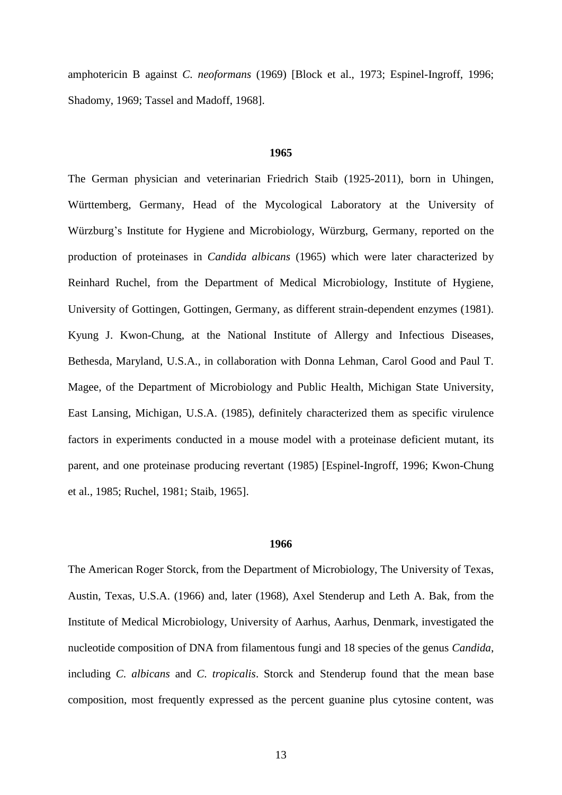amphotericin B against *C. neoformans* (1969) [Block et al., 1973; Espinel-Ingroff, 1996; Shadomy, 1969; Tassel and Madoff, 1968].

# **1965**

The German physician and veterinarian Friedrich Staib (1925-2011), born in Uhingen, Württemberg, Germany, Head of the Mycological Laboratory at the University of Würzburg's Institute for Hygiene and Microbiology, Würzburg, Germany, reported on the production of proteinases in *Candida albicans* (1965) which were later characterized by Reinhard Ruchel, from the Department of Medical Microbiology, Institute of Hygiene, University of Gottingen, Gottingen, Germany, as different strain-dependent enzymes (1981). Kyung J. Kwon-Chung, at the National Institute of Allergy and Infectious Diseases, Bethesda, Maryland, U.S.A., in collaboration with Donna Lehman, Carol Good and Paul T. Magee, of the Department of Microbiology and Public Health, Michigan State University, East Lansing, Michigan, U.S.A. (1985), definitely characterized them as specific virulence factors in experiments conducted in a mouse model with a proteinase deficient mutant, its parent, and one proteinase producing revertant (1985) [Espinel-Ingroff, 1996; Kwon-Chung et al., 1985; Ruchel, 1981; Staib, 1965].

# **1966**

The American Roger Storck, from the Department of Microbiology, The University of Texas, Austin, Texas, U.S.A. (1966) and, later (1968), Axel Stenderup and Leth A. Bak, from the Institute of Medical Microbiology, University of Aarhus, Aarhus, Denmark, investigated the nucleotide composition of DNA from filamentous fungi and 18 species of the genus *Candida*, including *C. albicans* and *C. tropicalis*. Storck and Stenderup found that the mean base composition, most frequently expressed as the percent guanine plus cytosine content, was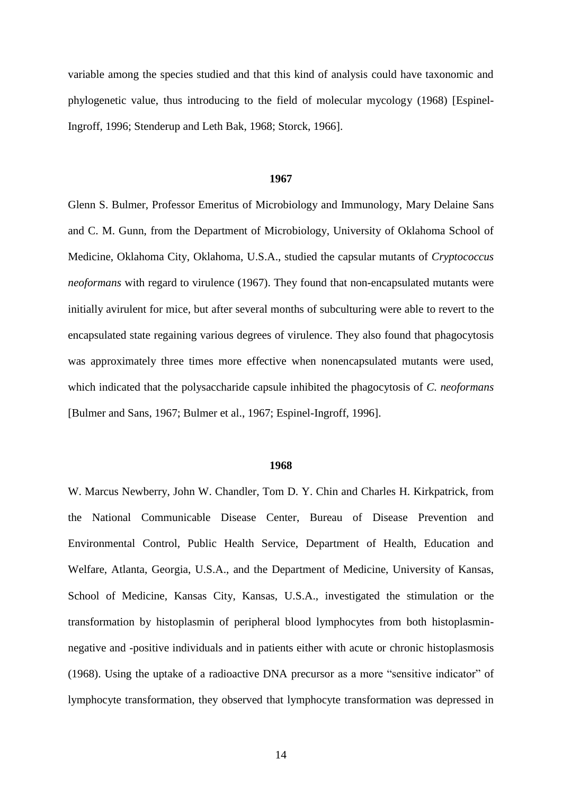variable among the species studied and that this kind of analysis could have taxonomic and phylogenetic value, thus introducing to the field of molecular mycology (1968) [Espinel-Ingroff, 1996; Stenderup and Leth Bak, 1968; Storck, 1966].

#### **1967**

Glenn S. Bulmer, Professor Emeritus of Microbiology and Immunology, Mary Delaine Sans and C. M. Gunn, from the Department of Microbiology, University of Oklahoma School of Medicine, Oklahoma City, Oklahoma, U.S.A., studied the capsular mutants of *Cryptococcus neoformans* with regard to virulence (1967). They found that non-encapsulated mutants were initially avirulent for mice, but after several months of subculturing were able to revert to the encapsulated state regaining various degrees of virulence. They also found that phagocytosis was approximately three times more effective when nonencapsulated mutants were used, which indicated that the polysaccharide capsule inhibited the phagocytosis of *C. neoformans* [Bulmer and Sans, 1967; Bulmer et al., 1967; Espinel-Ingroff, 1996].

### **1968**

W. Marcus Newberry, John W. Chandler, Tom D. Y. Chin and Charles H. Kirkpatrick, from the National Communicable Disease Center, Bureau of Disease Prevention and Environmental Control, Public Health Service, Department of Health, Education and Welfare, Atlanta, Georgia, U.S.A., and the Department of Medicine, University of Kansas, School of Medicine, Kansas City, Kansas, U.S.A., investigated the stimulation or the transformation by histoplasmin of peripheral blood lymphocytes from both histoplasminnegative and -positive individuals and in patients either with acute or chronic histoplasmosis (1968). Using the uptake of a radioactive DNA precursor as a more "sensitive indicator" of lymphocyte transformation, they observed that lymphocyte transformation was depressed in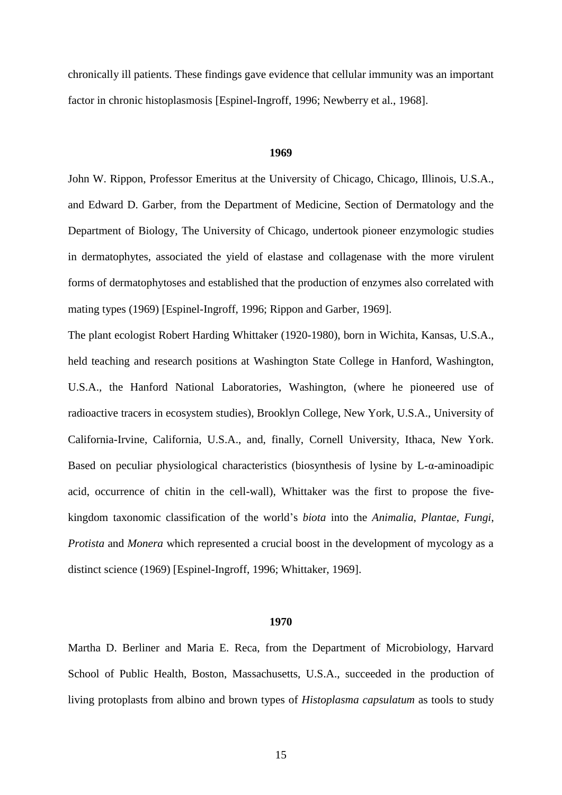chronically ill patients. These findings gave evidence that cellular immunity was an important factor in chronic histoplasmosis [Espinel-Ingroff, 1996; Newberry et al., 1968].

# **1969**

John W. Rippon, Professor Emeritus at the University of Chicago, Chicago, Illinois, U.S.A., and Edward D. Garber, from the Department of Medicine, Section of Dermatology and the Department of Biology, The University of Chicago, undertook pioneer enzymologic studies in dermatophytes, associated the yield of elastase and collagenase with the more virulent forms of dermatophytoses and established that the production of enzymes also correlated with mating types (1969) [Espinel-Ingroff, 1996; Rippon and Garber, 1969].

The plant ecologist Robert Harding Whittaker (1920-1980), born in Wichita, Kansas, U.S.A.*,*  held teaching and research positions at [Washington State College](http://en.wikipedia.org/wiki/Washington_State_College) in Hanford, Washington, U.S.A.*,* the Hanford National Laboratories, Washington, (where he pioneered use of [radioactive tracers](http://en.wikipedia.org/wiki/Radioactive_tracer) in [ecosystem](http://en.wikipedia.org/wiki/Ecosystem) studies), [Brooklyn College,](http://en.wikipedia.org/wiki/Brooklyn_College) New York, U.S.A., University of California-Irvine, California, U.S.A., and, finally, [Cornell University,](http://en.wikipedia.org/wiki/Cornell_University) Ithaca, New York. Based on peculiar physiological characteristics (biosynthesis of lysine by L-α-aminoadipic acid, occurrence of chitin in the cell-wall), Whittaker was the first to propose the [five](http://en.wikipedia.org/wiki/Five-kingdom)[kingdom](http://en.wikipedia.org/wiki/Five-kingdom) [taxonomic classification](http://en.wikipedia.org/wiki/Taxonomy) of the world's *biota* into the *[Animalia](http://en.wikipedia.org/wiki/Animalia)*, *[Plantae](http://en.wikipedia.org/wiki/Plantae)*, *[Fungi](http://en.wikipedia.org/wiki/Fungi)*, *[Protista](http://en.wikipedia.org/wiki/Protista)* and *[Monera](http://en.wikipedia.org/wiki/Monera)* which represented a crucial boost in the development of mycology as a distinct science (1969) [Espinel-Ingroff, 1996; Whittaker, 1969].

#### **1970**

Martha D. Berliner and Maria E. Reca, from the Department of Microbiology, Harvard School of Public Health, Boston, Massachusetts, U.S.A., succeeded in the production of living protoplasts from albino and brown types of *Histoplasma capsulatum* as tools to study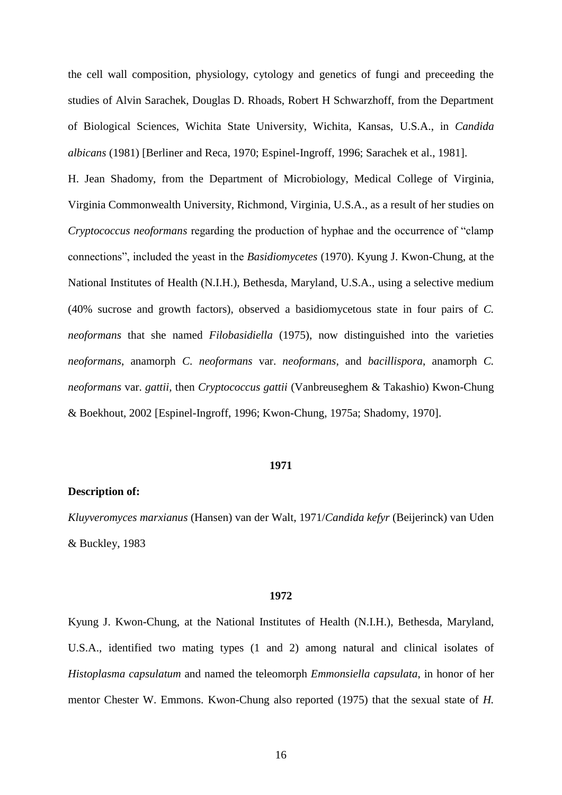the cell wall composition, physiology, cytology and genetics of fungi and preceeding the studies of Alvin Sarachek, Douglas D. Rhoads, Robert H Schwarzhoff, from the Department of Biological Sciences, Wichita State University, Wichita, Kansas, U.S.A., in *Candida albicans* (1981) [Berliner and Reca, 1970; Espinel-Ingroff, 1996; Sarachek et al., 1981].

H. Jean Shadomy, from the Department of Microbiology, Medical College of Virginia, Virginia Commonwealth University, Richmond, Virginia, U.S.A., as a result of her studies on *Cryptococcus neoformans* regarding the production of hyphae and the occurrence of "clamp connections", included the yeast in the *Basidiomycetes* (1970). Kyung J. Kwon-Chung, at the National Institutes of Health (N.I.H.), Bethesda, Maryland, U.S.A., using a selective medium (40% sucrose and growth factors), observed a basidiomycetous state in four pairs of *C. neoformans* that she named *Filobasidiella* (1975), now distinguished into the varieties *neoformans*, anamorph *C. neoformans* var. *neoformans*, and *bacillispora*, anamorph *C. neoformans* var. *gattii,* then *Cryptococcus gattii* (Vanbreuseghem & Takashio) Kwon-Chung & Boekhout, 2002 [Espinel-Ingroff, 1996; Kwon-Chung, 1975a; Shadomy, 1970].

# **1971**

# **Description of:**

*Kluyveromyces marxianus* (Hansen) van der Walt, 1971/*Candida kefyr* (Beijerinck) van Uden & Buckley, 1983

#### **1972**

Kyung J. Kwon-Chung, at the National Institutes of Health (N.I.H.), Bethesda, Maryland, U.S.A., identified two mating types (1 and 2) among natural and clinical isolates of *Histoplasma capsulatum* and named the teleomorph *Emmonsiella capsulata*, in honor of her mentor Chester W. Emmons. Kwon-Chung also reported (1975) that the sexual state of *H.*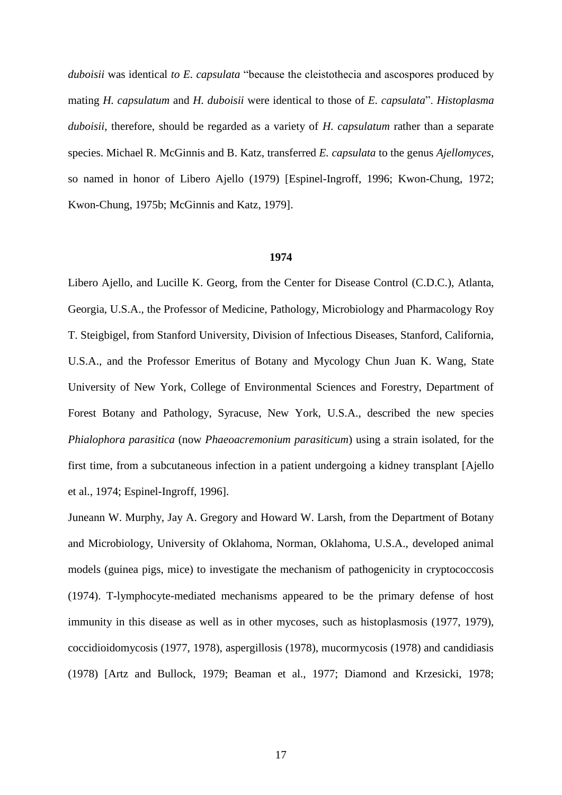*duboisii* was identical *to E. capsulata* "because the cleistothecia and ascospores produced by mating *H. capsulatum* and *H. duboisii* were identical to those of *E. capsulata*". *Histoplasma duboisii*, therefore, should be regarded as a variety of *H. capsulatum* rather than a separate species. Michael R. McGinnis and B. Katz, transferred *E. capsulata* to the genus *Ajellomyces*, so named in honor of Libero Ajello (1979) [Espinel-Ingroff, 1996; Kwon-Chung, 1972; Kwon-Chung, 1975b; McGinnis and Katz, 1979].

#### **1974**

Libero Ajello, and Lucille K. Georg, from the Center for Disease Control (C.D.C.), Atlanta, Georgia, U.S.A., the Professor of Medicine, Pathology, Microbiology and Pharmacology Roy T. Steigbigel, from Stanford University, Division of Infectious Diseases, Stanford, California, U.S.A., and the Professor Emeritus of Botany and Mycology Chun Juan K. Wang, State University of New York, College of Environmental Sciences and Forestry, Department of Forest Botany and Pathology, Syracuse, New York, U.S.A., described the new species *Phialophora parasitica* (now *Phaeoacremonium parasiticum*) using a strain isolated, for the first time, from a subcutaneous infection in a patient undergoing a kidney transplant [Ajello et al., 1974; Espinel-Ingroff, 1996].

Juneann W. Murphy, Jay A. Gregory and Howard W. Larsh, from the Department of Botany and Microbiology, University of Oklahoma, Norman, Oklahoma, U.S.A., developed animal models (guinea pigs, mice) to investigate the mechanism of pathogenicity in cryptococcosis (1974). T-lymphocyte-mediated mechanisms appeared to be the primary defense of host immunity in this disease as well as in other mycoses, such as histoplasmosis (1977, 1979), coccidioidomycosis (1977, 1978), aspergillosis (1978), mucormycosis (1978) and candidiasis (1978) [Artz and Bullock, 1979; Beaman et al., 1977; Diamond and Krzesicki, 1978;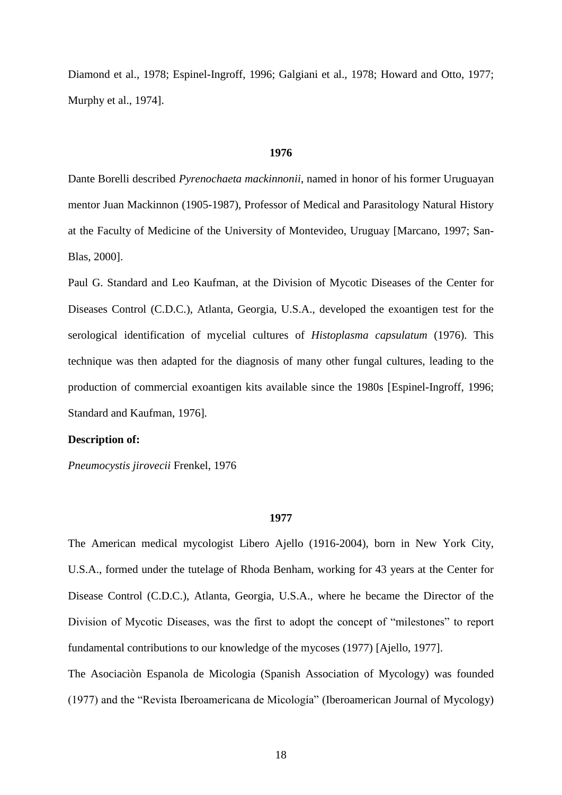Diamond et al., 1978; Espinel-Ingroff, 1996; Galgiani et al., 1978; Howard and Otto, 1977; Murphy et al., 1974].

# **1976**

Dante Borelli described *Pyrenochaeta mackinnonii*, named in honor of his former Uruguayan mentor Juan Mackinnon (1905-1987), Professor of Medical and Parasitology Natural History at the Faculty of Medicine of the University of Montevideo, Uruguay [Marcano, 1997; San-Blas, 2000].

Paul G. Standard and Leo Kaufman, at the Division of Mycotic Diseases of the Center for Diseases Control (C.D.C.), Atlanta, Georgia, U.S.A., developed the exoantigen test for the serological identification of mycelial cultures of *Histoplasma capsulatum* (1976). This technique was then adapted for the diagnosis of many other fungal cultures, leading to the production of commercial exoantigen kits available since the 1980s [Espinel-Ingroff, 1996; Standard and Kaufman, 1976]*.*

# **Description of:**

*Pneumocystis jirovecii* Frenkel, 1976

#### **1977**

The American medical mycologist Libero Ajello (1916-2004), born in New York City, U.S.A., formed under the tutelage of Rhoda Benham, working for 43 years at the Center for Disease Control (C.D.C.), Atlanta, Georgia, U.S.A., where he became the Director of the Division of Mycotic Diseases, was the first to adopt the concept of "milestones" to report fundamental contributions to our knowledge of the mycoses (1977) [Ajello, 1977].

The Asociaciòn Espanola de Micologia (Spanish Association of Mycology) was founded (1977) and the "Revista Iberoamericana de Micología" (Iberoamerican Journal of Mycology)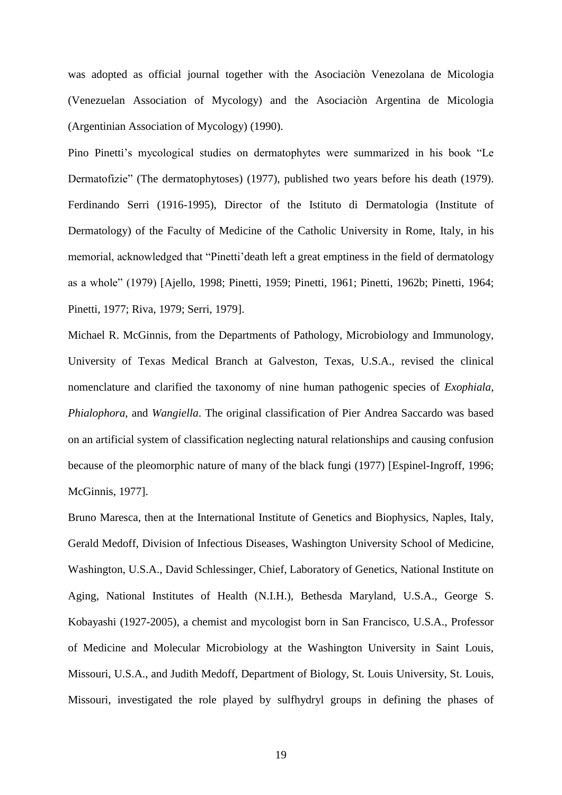was adopted as official journal together with the Asociaciòn Venezolana de Micologia (Venezuelan Association of Mycology) and the Asociaciòn Argentina de Micologia (Argentinian Association of Mycology) (1990).

Pino Pinetti's mycological studies on dermatophytes were summarized in his book "Le Dermatofizie" (The dermatophytoses) (1977), published two years before his death (1979). Ferdinando Serri (1916-1995), Director of the Istituto di Dermatologia (Institute of Dermatology) of the Faculty of Medicine of the Catholic University in Rome, Italy, in his memorial, acknowledged that "Pinetti'death left a great emptiness in the field of dermatology as a whole" (1979) [Ajello, 1998; Pinetti, 1959; Pinetti, 1961; Pinetti, 1962b; Pinetti, 1964; Pinetti, 1977; Riva, 1979; Serri, 1979].

Michael R. McGinnis, from the Departments of Pathology, Microbiology and Immunology, University of Texas Medical Branch at Galveston, Texas, U.S.A., revised the clinical nomenclature and clarified the taxonomy of nine human pathogenic species of *Exophiala*, *Phialophora*, and *Wangiella*. The original classification of Pier Andrea Saccardo was based on an artificial system of classification neglecting natural relationships and causing confusion because of the pleomorphic nature of many of the black fungi (1977) [Espinel-Ingroff, 1996; McGinnis, 1977].

Bruno Maresca, then at the International Institute of Genetics and Biophysics, Naples, Italy, Gerald Medoff, Division of Infectious Diseases, Washington University School of Medicine, Washington, U.S.A., David Schlessinger, Chief, Laboratory of Genetics, National Institute on Aging, National Institutes of Health (N.I.H.), Bethesda Maryland, U.S.A., George S. Kobayashi (1927-2005), a chemist and mycologist born in San Francisco, U.S.A., Professor of Medicine and Molecular Microbiology at the Washington University in Saint Louis, Missouri, U.S.A., and Judith Medoff, Department of Biology, St. Louis University, St. Louis, Missouri, investigated the role played by sulfhydryl groups in defining the phases of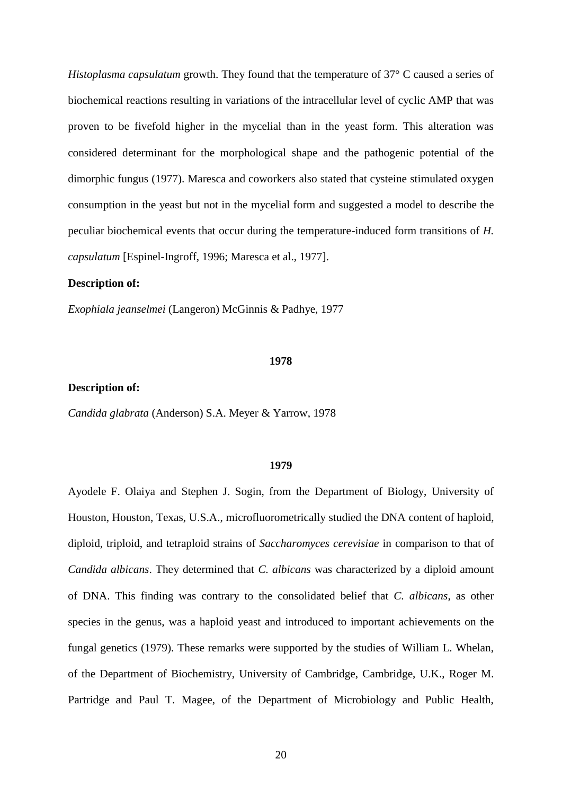*Histoplasma capsulatum* growth. They found that the temperature of 37° C caused a series of biochemical reactions resulting in variations of the intracellular level of cyclic AMP that was proven to be fivefold higher in the mycelial than in the yeast form. This alteration was considered determinant for the morphological shape and the pathogenic potential of the dimorphic fungus (1977). Maresca and coworkers also stated that cysteine stimulated oxygen consumption in the yeast but not in the mycelial form and suggested a model to describe the peculiar biochemical events that occur during the temperature-induced form transitions of *H. capsulatum* [Espinel-Ingroff, 1996; Maresca et al., 1977].

# **Description of:**

*Exophiala jeanselmei* (Langeron) McGinnis & Padhye, 1977

#### **1978**

# **Description of:**

*Candida glabrata* (Anderson) S.A. Meyer & Yarrow, 1978

### **1979**

Ayodele F. Olaiya and Stephen J. Sogin, from the Department of Biology, University of Houston, Houston, Texas, U.S.A., microfluorometrically studied the DNA content of haploid, diploid, triploid, and tetraploid strains of *Saccharomyces cerevisiae* in comparison to that of *Candida albicans*. They determined that *C. albicans* was characterized by a diploid amount of DNA. This finding was contrary to the consolidated belief that *C. albicans*, as other species in the genus, was a haploid yeast and introduced to important achievements on the fungal genetics (1979). These remarks were supported by the studies of William L. Whelan, of the Department of Biochemistry, University of Cambridge, Cambridge, U.K., Roger M. Partridge and Paul T. Magee, of the Department of Microbiology and Public Health,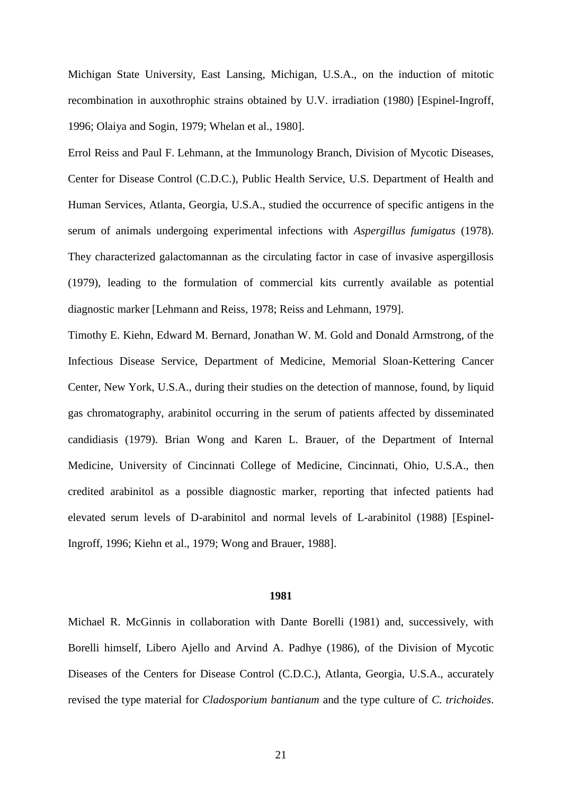Michigan State University, East Lansing, Michigan, U.S.A., on the induction of mitotic recombination in auxothrophic strains obtained by U.V. irradiation (1980) [Espinel-Ingroff, 1996; Olaiya and Sogin, 1979; Whelan et al., 1980].

Errol Reiss and Paul F. Lehmann, at the Immunology Branch, Division of Mycotic Diseases, Center for Disease Control (C.D.C.), Public Health Service, U.S. Department of Health and Human Services, Atlanta, Georgia, U.S.A., studied the occurrence of specific antigens in the serum of animals undergoing experimental infections with *Aspergillus fumigatus* (1978). They characterized galactomannan as the circulating factor in case of invasive aspergillosis (1979), leading to the formulation of commercial kits currently available as potential diagnostic marker [Lehmann and Reiss, 1978; Reiss and Lehmann, 1979].

Timothy E. Kiehn, Edward M. Bernard, Jonathan W. M. Gold and Donald Armstrong, of the Infectious Disease Service, Department of Medicine, Memorial Sloan-Kettering Cancer Center, New York, U.S.A., during their studies on the detection of mannose, found, by liquid gas chromatography, arabinitol occurring in the serum of patients affected by disseminated candidiasis (1979). Brian Wong and Karen L. Brauer, of the Department of Internal Medicine, University of Cincinnati College of Medicine, Cincinnati, Ohio, U.S.A., then credited arabinitol as a possible diagnostic marker, reporting that infected patients had elevated serum levels of D-arabinitol and normal levels of L-arabinitol (1988) [Espinel-Ingroff, 1996; Kiehn et al., 1979; Wong and Brauer, 1988].

#### **1981**

Michael R. McGinnis in collaboration with Dante Borelli (1981) and, successively, with Borelli himself, Libero Ajello and Arvind A. Padhye (1986), of the Division of Mycotic Diseases of the Centers for Disease Control (C.D.C.), Atlanta, Georgia, U.S.A., accurately revised the type material for *Cladosporium bantianum* and the type culture of *C. trichoides*.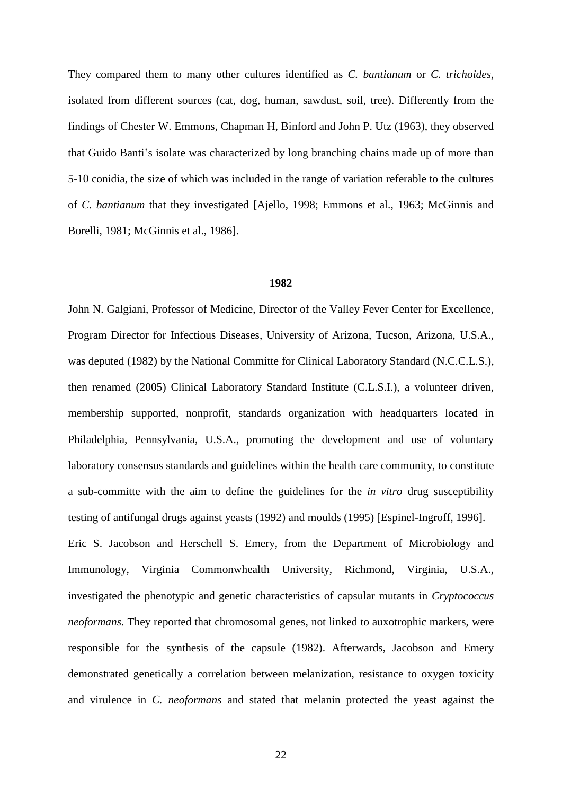They compared them to many other cultures identified as *C. bantianum* or *C. trichoides*, isolated from different sources (cat, dog, human, sawdust, soil, tree). Differently from the findings of Chester W. Emmons, Chapman H, Binford and John P. Utz (1963), they observed that Guido Banti's isolate was characterized by long branching chains made up of more than 5-10 conidia, the size of which was included in the range of variation referable to the cultures of *C. bantianum* that they investigated [Ajello, 1998; Emmons et al., 1963; McGinnis and Borelli, 1981; McGinnis et al., 1986].

#### **1982**

John N. Galgiani, Professor of Medicine, Director of the Valley Fever Center for Excellence, Program Director for Infectious Diseases, University of Arizona, Tucson, Arizona, U.S.A., was deputed (1982) by the National Committe for Clinical Laboratory Standard (N.C.C.L.S.), then renamed (2005) Clinical Laboratory Standard Institute (C.L.S.I.), a volunteer driven, membership supported, [nonprofit,](http://en.wikipedia.org/wiki/Nonprofit) [standards organization](http://en.wikipedia.org/wiki/Standards_organization) with headquarters located in Philadelphia, Pennsylvania, U.S.A., promoting the development and use of voluntary laboratory [consensus](http://en.wikipedia.org/wiki/Consensus) standards and guidelines within the health care community, to constitute a sub-committe with the aim to define the guidelines for the *in vitro* drug susceptibility testing of antifungal drugs against yeasts (1992) and moulds (1995) [Espinel-Ingroff, 1996]. Eric S. Jacobson and Herschell S. Emery, from the Department of Microbiology and Immunology, Virginia Commonwhealth University, Richmond, Virginia, U.S.A., investigated the phenotypic and genetic characteristics of capsular mutants in *Cryptococcus neoformans*. They reported that chromosomal genes, not linked to auxotrophic markers, were responsible for the synthesis of the capsule (1982). Afterwards, Jacobson and Emery demonstrated genetically a correlation between melanization, resistance to oxygen toxicity and virulence in *C. neoformans* and stated that melanin protected the yeast against the